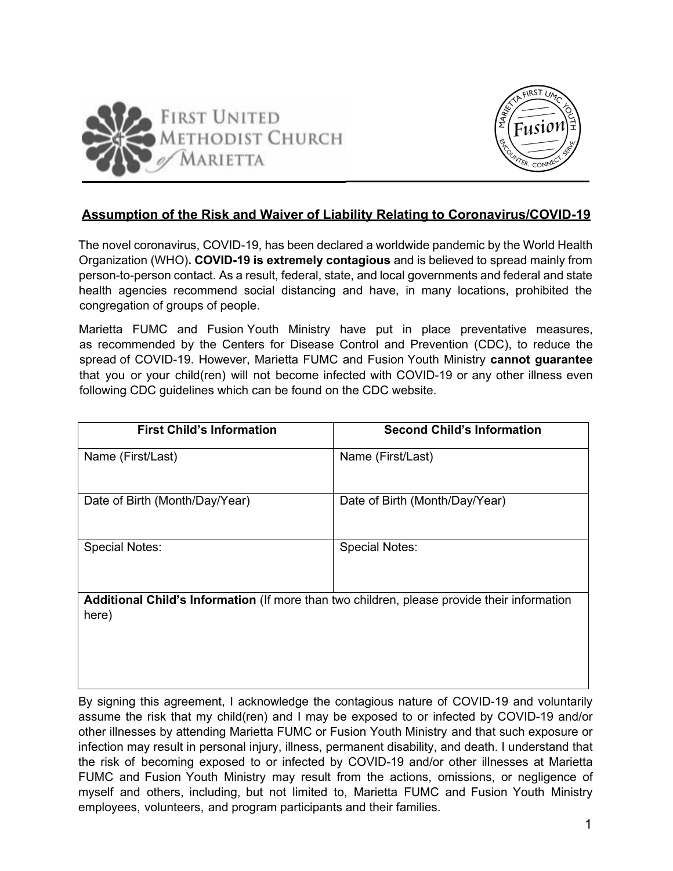



## **Assumption of the Risk and Waiver of Liability Relating to Coronavirus/COVID-19**

The novel coronavirus, COVID-19, has been declared a worldwide pandemic by the World Health Organization (WHO)**. COVID-19 is extremely contagious** and is believed to spread mainly from person-to-person contact. As a result, federal, state, and local governments and federal and state health agencies recommend social distancing and have, in many locations, prohibited the congregation of groups of people.

Marietta FUMC and Fusion Youth Ministry have put in place preventative measures, as recommended by the Centers for Disease Control and Prevention (CDC), to reduce the spread of COVID-19. However, Marietta FUMC and Fusion Youth Ministry **cannot guarantee** that you or your child(ren) will not become infected with COVID-19 or any other illness even following CDC guidelines which can be found on the CDC website.

| <b>First Child's Information</b>                                                                     | <b>Second Child's Information</b> |
|------------------------------------------------------------------------------------------------------|-----------------------------------|
| Name (First/Last)                                                                                    | Name (First/Last)                 |
| Date of Birth (Month/Day/Year)                                                                       | Date of Birth (Month/Day/Year)    |
| <b>Special Notes:</b>                                                                                | <b>Special Notes:</b>             |
| Additional Child's Information (If more than two children, please provide their information<br>here) |                                   |

By signing this agreement, I acknowledge the contagious nature of COVID-19 and voluntarily assume the risk that my child(ren) and I may be exposed to or infected by COVID-19 and/or other illnesses by attending Marietta FUMC or Fusion Youth Ministry and that such exposure or infection may result in personal injury, illness, permanent disability, and death. I understand that the risk of becoming exposed to or infected by COVID-19 and/or other illnesses at Marietta FUMC and Fusion Youth Ministry may result from the actions, omissions, or negligence of myself and others, including, but not limited to, Marietta FUMC and Fusion Youth Ministry employees, volunteers, and program participants and their families.